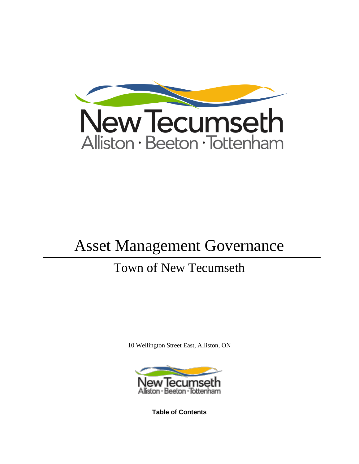

# Asset Management Governance

# Town of New Tecumseth

10 Wellington Street East, Alliston, ON



**Table of Contents**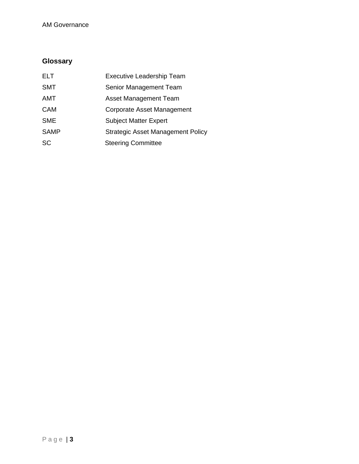# AM Governance

# <span id="page-2-0"></span>**Glossary**

| <b>ELT</b>  | <b>Executive Leadership Team</b>         |
|-------------|------------------------------------------|
| <b>SMT</b>  | Senior Management Team                   |
| <b>AMT</b>  | <b>Asset Management Team</b>             |
| <b>CAM</b>  | Corporate Asset Management               |
| <b>SME</b>  | <b>Subject Matter Expert</b>             |
| <b>SAMP</b> | <b>Strategic Asset Management Policy</b> |
| <b>SC</b>   | <b>Steering Committee</b>                |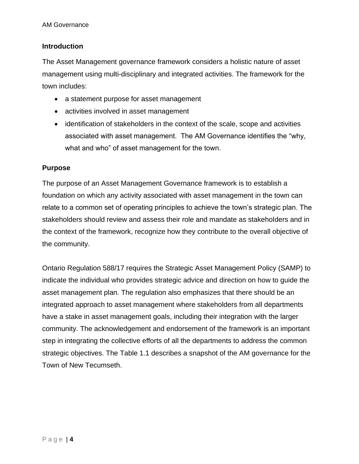# <span id="page-3-0"></span>**Introduction**

The Asset Management governance framework considers a holistic nature of asset management using multi-disciplinary and integrated activities. The framework for the town includes:

- a statement purpose for asset management
- activities involved in asset management
- identification of stakeholders in the context of the scale, scope and activities associated with asset management. The AM Governance identifies the "why, what and who" of asset management for the town.

# <span id="page-3-1"></span>**Purpose**

The purpose of an Asset Management Governance framework is to establish a foundation on which any activity associated with asset management in the town can relate to a common set of operating principles to achieve the town's strategic plan. The stakeholders should review and assess their role and mandate as stakeholders and in the context of the framework, recognize how they contribute to the overall objective of the community.

Ontario Regulation 588/17 requires the Strategic Asset Management Policy (SAMP) to indicate the individual who provides strategic advice and direction on how to guide the asset management plan. The regulation also emphasizes that there should be an integrated approach to asset management where stakeholders from all departments have a stake in asset management goals, including their integration with the larger community. The acknowledgement and endorsement of the framework is an important step in integrating the collective efforts of all the departments to address the common strategic objectives. The Table 1.1 describes a snapshot of the AM governance for the Town of New Tecumseth.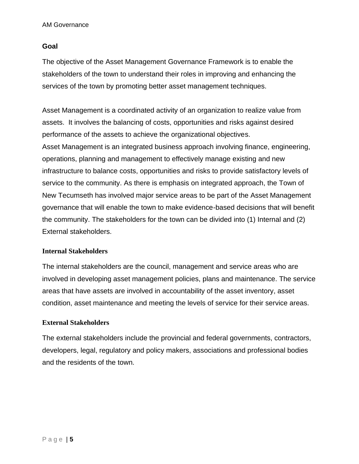# <span id="page-4-0"></span>**Goal**

The objective of the Asset Management Governance Framework is to enable the stakeholders of the town to understand their roles in improving and enhancing the services of the town by promoting better asset management techniques.

Asset Management is a coordinated activity of an organization to realize value from assets. It involves the balancing of costs, opportunities and risks against desired performance of the assets to achieve the organizational objectives. Asset Management is an integrated business approach involving finance, engineering, operations, planning and management to effectively manage existing and new infrastructure to balance costs, opportunities and risks to provide satisfactory levels of service to the community. As there is emphasis on integrated approach, the Town of New Tecumseth has involved major service areas to be part of the Asset Management governance that will enable the town to make evidence-based decisions that will benefit the community. The stakeholders for the town can be divided into (1) Internal and (2) External stakeholders.

# <span id="page-4-1"></span>**Internal Stakeholders**

The internal stakeholders are the council, management and service areas who are involved in developing asset management policies, plans and maintenance. The service areas that have assets are involved in accountability of the asset inventory, asset condition, asset maintenance and meeting the levels of service for their service areas.

# <span id="page-4-2"></span>**External Stakeholders**

The external stakeholders include the provincial and federal governments, contractors, developers, legal, regulatory and policy makers, associations and professional bodies and the residents of the town.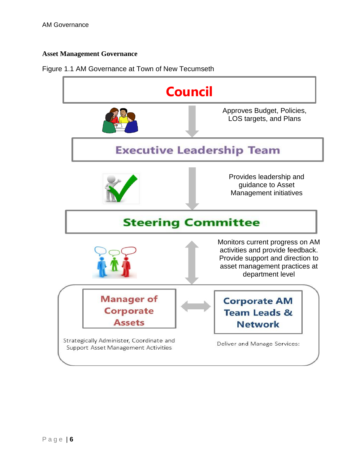# <span id="page-5-0"></span>**Asset Management Governance**

#### Figure 1.1 AM Governance at Town of New Tecumseth

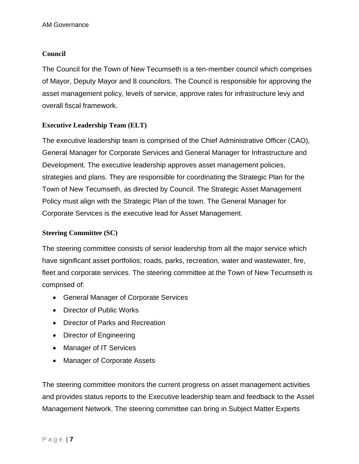# <span id="page-6-0"></span>**Council**

The Council for the Town of New Tecumseth is a ten-member council which comprises of Mayor, Deputy Mayor and 8 councilors. The Council is responsible for approving the asset management policy, levels of service, approve rates for infrastructure levy and overall fiscal framework.

# <span id="page-6-1"></span>**Executive Leadership Team (ELT)**

The executive leadership team is comprised of the Chief Administrative Officer (CAO), General Manager for Corporate Services and General Manager for Infrastructure and Development. The executive leadership approves asset management policies, strategies and plans. They are responsible for coordinating the Strategic Plan for the Town of New Tecumseth, as directed by Council. The Strategic Asset Management Policy must align with the Strategic Plan of the town. The General Manager for Corporate Services is the executive lead for Asset Management.

# <span id="page-6-2"></span>**Steering Committee (SC)**

The steering committee consists of senior leadership from all the major service which have significant asset portfolios; roads, parks, recreation, water and wastewater, fire, fleet and corporate services. The steering committee at the Town of New Tecumseth is comprised of:

- General Manager of Corporate Services
- Director of Public Works
- Director of Parks and Recreation
- Director of Engineering
- Manager of IT Services
- Manager of Corporate Assets

The steering committee monitors the current progress on asset management activities and provides status reports to the Executive leadership team and feedback to the Asset Management Network. The steering committee can bring in Subject Matter Experts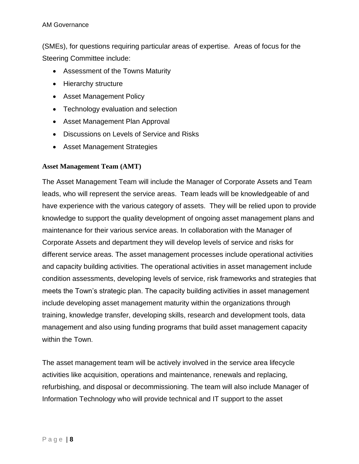(SMEs), for questions requiring particular areas of expertise. Areas of focus for the Steering Committee include:

- Assessment of the Towns Maturity
- Hierarchy structure
- Asset Management Policy
- Technology evaluation and selection
- Asset Management Plan Approval
- Discussions on Levels of Service and Risks
- Asset Management Strategies

# <span id="page-7-0"></span>**Asset Management Team (AMT)**

The Asset Management Team will include the Manager of Corporate Assets and Team leads, who will represent the service areas. Team leads will be knowledgeable of and have experience with the various category of assets. They will be relied upon to provide knowledge to support the quality development of ongoing asset management plans and maintenance for their various service areas. In collaboration with the Manager of Corporate Assets and department they will develop levels of service and risks for different service areas. The asset management processes include operational activities and capacity building activities. The operational activities in asset management include condition assessments, developing levels of service, risk frameworks and strategies that meets the Town's strategic plan. The capacity building activities in asset management include developing asset management maturity within the organizations through training, knowledge transfer, developing skills, research and development tools, data management and also using funding programs that build asset management capacity within the Town.

The asset management team will be actively involved in the service area lifecycle activities like acquisition, operations and maintenance, renewals and replacing, refurbishing, and disposal or decommissioning. The team will also include Manager of Information Technology who will provide technical and IT support to the asset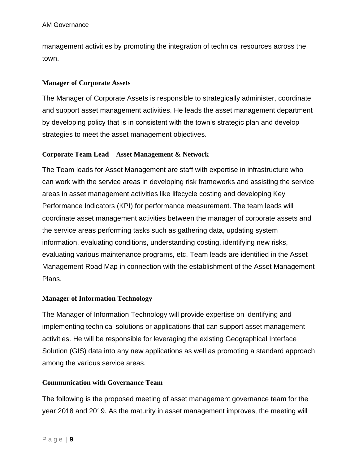#### AM Governance

management activities by promoting the integration of technical resources across the town.

# <span id="page-8-0"></span>**Manager of Corporate Assets**

The Manager of Corporate Assets is responsible to strategically administer, coordinate and support asset management activities. He leads the asset management department by developing policy that is in consistent with the town's strategic plan and develop strategies to meet the asset management objectives.

# <span id="page-8-1"></span>**Corporate Team Lead – Asset Management & Network**

The Team leads for Asset Management are staff with expertise in infrastructure who can work with the service areas in developing risk frameworks and assisting the service areas in asset management activities like lifecycle costing and developing Key Performance Indicators (KPI) for performance measurement. The team leads will coordinate asset management activities between the manager of corporate assets and the service areas performing tasks such as gathering data, updating system information, evaluating conditions, understanding costing, identifying new risks, evaluating various maintenance programs, etc. Team leads are identified in the Asset Management Road Map in connection with the establishment of the Asset Management Plans.

# <span id="page-8-2"></span>**Manager of Information Technology**

The Manager of Information Technology will provide expertise on identifying and implementing technical solutions or applications that can support asset management activities. He will be responsible for leveraging the existing Geographical Interface Solution (GIS) data into any new applications as well as promoting a standard approach among the various service areas.

#### <span id="page-8-3"></span>**Communication with Governance Team**

The following is the proposed meeting of asset management governance team for the year 2018 and 2019. As the maturity in asset management improves, the meeting will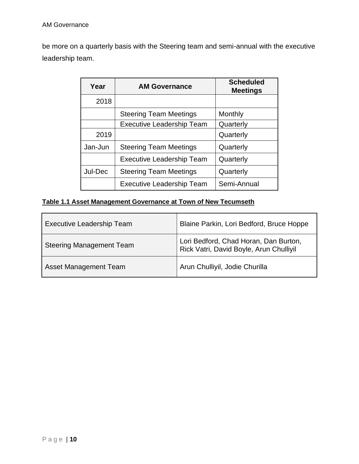be more on a quarterly basis with the Steering team and semi-annual with the executive leadership team.

| Year    | <b>AM Governance</b>             | <b>Scheduled</b><br><b>Meetings</b> |
|---------|----------------------------------|-------------------------------------|
| 2018    |                                  |                                     |
|         | <b>Steering Team Meetings</b>    | Monthly                             |
|         | <b>Executive Leadership Team</b> | Quarterly                           |
| 2019    |                                  | Quarterly                           |
| Jan-Jun | <b>Steering Team Meetings</b>    | Quarterly                           |
|         | <b>Executive Leadership Team</b> | Quarterly                           |
| Jul-Dec | <b>Steering Team Meetings</b>    | Quarterly                           |
|         | <b>Executive Leadership Team</b> | Semi-Annual                         |

# <span id="page-9-0"></span>**Table 1.1 Asset Management Governance at Town of New Tecumseth**

| <b>Executive Leadership Team</b> | Blaine Parkin, Lori Bedford, Bruce Hoppe                                         |
|----------------------------------|----------------------------------------------------------------------------------|
| <b>Steering Management Team</b>  | Lori Bedford, Chad Horan, Dan Burton,<br>Rick Vatri, David Boyle, Arun Chulliyil |
| Asset Management Team            | Arun Chulliyil, Jodie Churilla                                                   |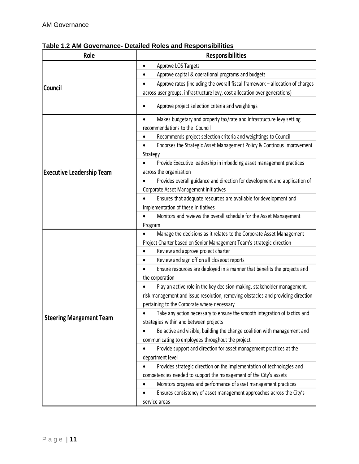| Role                             | <b>Responsibilities</b>                                                                    |
|----------------------------------|--------------------------------------------------------------------------------------------|
|                                  | Approve LOS Targets                                                                        |
|                                  | Approve capital & operational programs and budgets                                         |
|                                  | Approve rates (including the overall fiscal framework - allocation of charges              |
| Council                          | across user groups, infrastructure levy, cost allocation over generations)                 |
|                                  | Approve project selection criteria and weightings<br>٠                                     |
|                                  | Makes budgetary and property tax/rate and Infrastructure levy setting                      |
|                                  | recommendations to the Council                                                             |
|                                  | Recommends project selection criteria and weightings to Council                            |
|                                  | Endorses the Strategic Asset Management Policy & Continous Improvement<br>Strategy         |
|                                  | Provide Executive leadership in imbedding asset management practices                       |
| <b>Executive Leadership Team</b> | across the organization                                                                    |
|                                  | Provides overall guidance and direction for development and application of                 |
|                                  | Corporate Asset Management initiatives                                                     |
|                                  | Ensures that adequate resources are available for development and                          |
|                                  | implementation of these initiatives                                                        |
|                                  | Monitors and reviews the overall schedule for the Asset Management                         |
|                                  | Program                                                                                    |
|                                  | Manage the decisions as it relates to the Corporate Asset Management                       |
|                                  | Project Charter based on Senior Management Team's strategic direction                      |
|                                  | Review and approve project charter                                                         |
|                                  | Review and sign off on all closeout reports                                                |
|                                  | Ensure resources are deployed in a manner that benefits the projects and                   |
|                                  | the corporation<br>Play an active role in the key decision-making, stakeholder management, |
|                                  | risk management and issue resolution, removing obstacles and providing direction           |
|                                  | pertaining to the Corporate where necessary                                                |
|                                  | Take any action necessary to ensure the smooth integration of tactics and                  |
| <b>Steering Mangement Team</b>   | strategies within and between projects                                                     |
|                                  | Be active and visible, building the change coalition with management and                   |
|                                  | communicating to employees throughout the project                                          |
|                                  | Provide support and direction for asset management practices at the                        |
|                                  | department level                                                                           |
|                                  | Provides strategic direction on the implementation of technologies and                     |
|                                  | competencies needed to support the management of the City's assets                         |
|                                  | Monitors progress and performance of asset management practices                            |
|                                  | Ensures consistency of asset management approaches across the City's                       |
|                                  | service areas                                                                              |

# <span id="page-10-0"></span>**Table 1.2 AM Governance- Detailed Roles and Responsibilities**